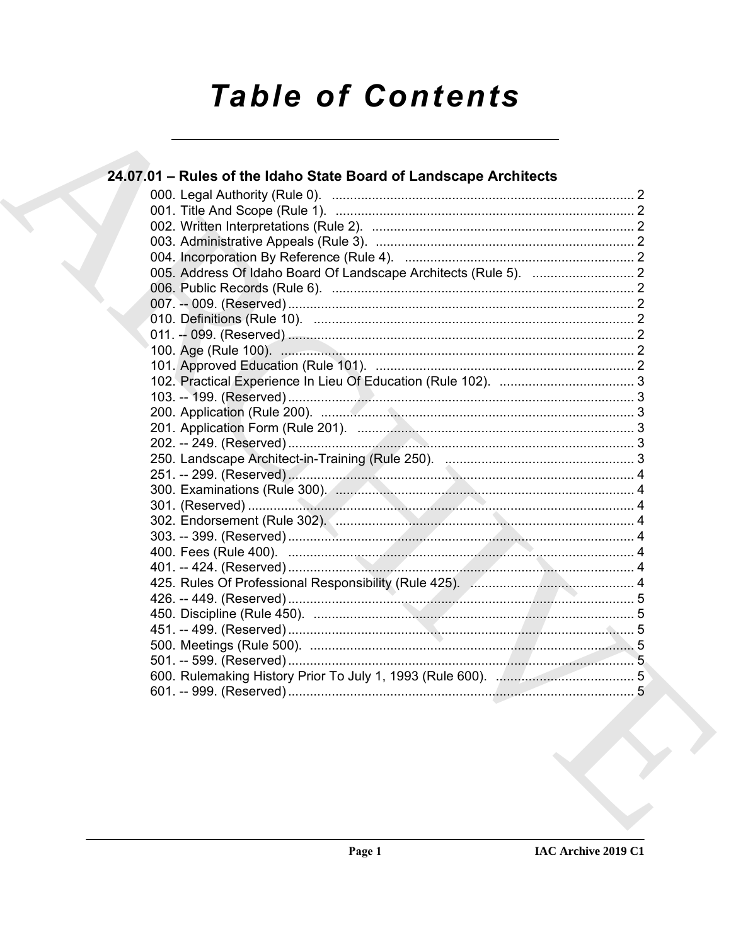# **Table of Contents**

| 24.07.01 – Rules of the Idaho State Board of Landscape Architects |  |
|-------------------------------------------------------------------|--|
|                                                                   |  |
|                                                                   |  |
|                                                                   |  |
|                                                                   |  |
|                                                                   |  |
|                                                                   |  |
|                                                                   |  |
|                                                                   |  |
|                                                                   |  |
|                                                                   |  |
|                                                                   |  |
|                                                                   |  |
|                                                                   |  |
|                                                                   |  |
|                                                                   |  |
|                                                                   |  |
|                                                                   |  |
|                                                                   |  |
|                                                                   |  |
|                                                                   |  |
|                                                                   |  |
|                                                                   |  |
|                                                                   |  |
|                                                                   |  |
|                                                                   |  |
|                                                                   |  |
|                                                                   |  |
|                                                                   |  |
|                                                                   |  |
|                                                                   |  |
|                                                                   |  |
|                                                                   |  |
|                                                                   |  |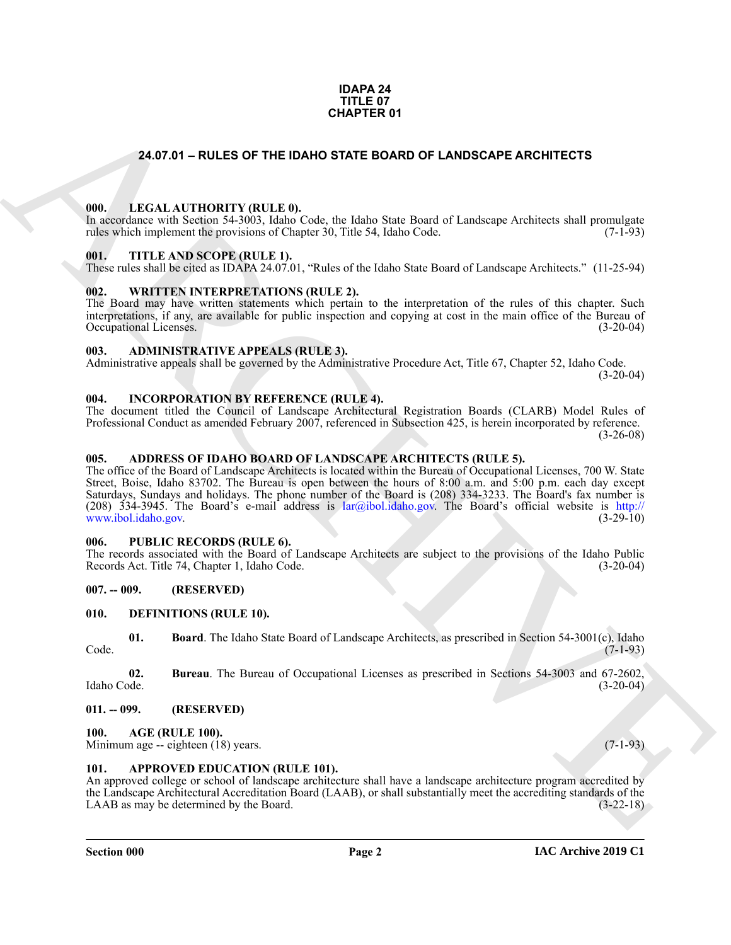#### **IDAPA 24 TITLE 07 CHAPTER 01**

#### <span id="page-1-0"></span>**24.07.01 – RULES OF THE IDAHO STATE BOARD OF LANDSCAPE ARCHITECTS**

#### <span id="page-1-21"></span><span id="page-1-1"></span>**000. LEGAL AUTHORITY (RULE 0).**

In accordance with Section 54-3003, Idaho Code, the Idaho State Board of Landscape Architects shall promulgate rules which implement the provisions of Chapter 30, Title 54, Idaho Code. (7-1-93)

#### <span id="page-1-23"></span><span id="page-1-2"></span>**001. TITLE AND SCOPE (RULE 1).**

These rules shall be cited as IDAPA 24.07.01, "Rules of the Idaho State Board of Landscape Architects." (11-25-94)

#### <span id="page-1-24"></span><span id="page-1-3"></span>**002. WRITTEN INTERPRETATIONS (RULE 2).**

The Board may have written statements which pertain to the interpretation of the rules of this chapter. Such interpretations, if any, are available for public inspection and copying at cost in the main office of the Bureau of Occupational Licenses. (3-20-04) Occupational Licenses.

#### <span id="page-1-14"></span><span id="page-1-4"></span>**003. ADMINISTRATIVE APPEALS (RULE 3).**

Administrative appeals shall be governed by the Administrative Procedure Act, Title 67, Chapter 52, Idaho Code. (3-20-04)

#### <span id="page-1-20"></span><span id="page-1-5"></span>**004. INCORPORATION BY REFERENCE (RULE 4).**

The document titled the Council of Landscape Architectural Registration Boards (CLARB) Model Rules of Professional Conduct as amended February 2007, referenced in Subsection 425, is herein incorporated by reference. (3-26-08)

#### <span id="page-1-13"></span><span id="page-1-6"></span>**005. ADDRESS OF IDAHO BOARD OF LANDSCAPE ARCHITECTS (RULE 5).**

**24.07.01 - RULES OF THE IDANO STATE BOARD OF LANDSCAPE ARC[HI](mailto:lar@ibol.idaho.gov)TECTS**<br>
1991. LEGAL ALTITORITY (BULLE)<br>
1992. THE AND SCOPE (RELET II).<br>
1993. THE AND SCOPE (RELET II).<br>
1993. THE AND SCOPE (RELET II).<br>
1993. THE AND SCOPE ( The office of the Board of Landscape Architects is located within the Bureau of Occupational Licenses, 700 W. State Street, Boise, Idaho 83702. The Bureau is open between the hours of 8:00 a.m. and 5:00 p.m. each day except Saturdays, Sundays and holidays. The phone number of the Board is (208) 334-3233. The Board's fax number is (208) 334-3945. The Board's e-mail address is lar@ibol.idaho.gov. The Board's official website is http:// www.ibol.idaho.gov. (3-29-10)

#### <span id="page-1-22"></span><span id="page-1-7"></span>**006. PUBLIC RECORDS (RULE 6).**

The records associated with the Board of Landscape Architects are subject to the provisions of the Idaho Public Records Act. Title 74, Chapter 1, Idaho Code. (3-20-04)

#### <span id="page-1-8"></span>**007. -- 009. (RESERVED)**

#### <span id="page-1-17"></span><span id="page-1-9"></span>**010. DEFINITIONS (RULE 10).**

<span id="page-1-18"></span>**01. Board**. The Idaho State Board of Landscape Architects, as prescribed in Section 54-3001(c), Idaho (7-1-93) Code. (7-1-93)

<span id="page-1-19"></span>**02. Bureau**. The Bureau of Occupational Licenses as prescribed in Sections 54-3003 and 67-2602, Idaho Code. (3-20-04)

#### <span id="page-1-10"></span>**011. -- 099. (RESERVED)**

#### <span id="page-1-15"></span><span id="page-1-11"></span>**100. AGE (RULE 100).**

Minimum age -- eighteen (18) years. (7-1-93)

#### <span id="page-1-16"></span><span id="page-1-12"></span>**101. APPROVED EDUCATION (RULE 101).**

An approved college or school of landscape architecture shall have a landscape architecture program accredited by the Landscape Architectural Accreditation Board (LAAB), or shall substantially meet the accrediting standards of the LAAB as may be determined by the Board. (3-22-18)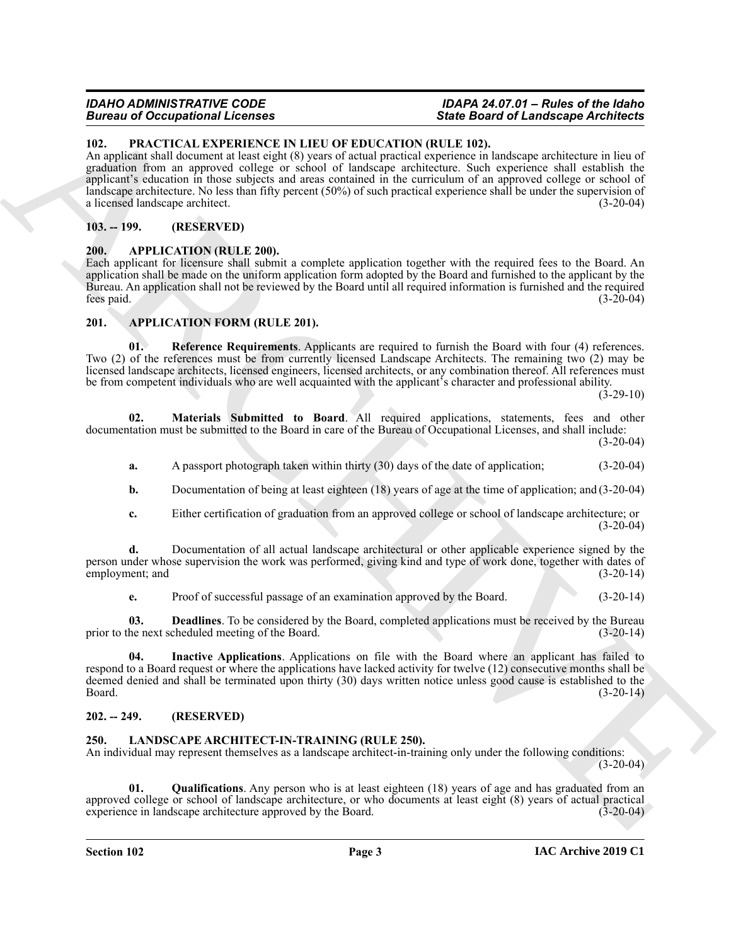## **Bureau of Occupational Licenses**

### *IDAHO ADMINISTRATIVE CODE IDAPA 24.07.01 – Rules of the Idaho*

#### <span id="page-2-14"></span><span id="page-2-0"></span>**102. PRACTICAL EXPERIENCE IN LIEU OF EDUCATION (RULE 102).**

Brain and Conception of the March 2001 State Conception (E) ERG. Brain and Conception of the March 2001 State Conception (E) and Conception (E) and Conception (E) and Conception (E) and Conception (E) and Conception (E) a An applicant shall document at least eight (8) years of actual practical experience in landscape architecture in lieu of graduation from an approved college or school of landscape architecture. Such experience shall establish the applicant's education in those subjects and areas contained in the curriculum of an approved college or school of landscape architecture. No less than fifty percent (50%) of such practical experience shall be under the supervision of a licensed landscape architect. (3-20-04)

#### <span id="page-2-1"></span>**103. -- 199. (RESERVED)**

#### <span id="page-2-6"></span><span id="page-2-2"></span>**200. APPLICATION (RULE 200).**

Each applicant for licensure shall submit a complete application together with the required fees to the Board. An application shall be made on the uniform application form adopted by the Board and furnished to the applicant by the Bureau. An application shall not be reviewed by the Board until all required information is furnished and the required fees paid. (3-20-04)

#### <span id="page-2-7"></span><span id="page-2-3"></span>**201. APPLICATION FORM (RULE 201).**

<span id="page-2-11"></span>**01. Reference Requirements**. Applicants are required to furnish the Board with four (4) references. Two (2) of the references must be from currently licensed Landscape Architects. The remaining two (2) may be licensed landscape architects, licensed engineers, licensed architects, or any combination thereof. All references must be from competent individuals who are well acquainted with the applicant's character and professional ability.

 $(3-29-10)$ 

**02. Materials Submitted to Board**. All required applications, statements, fees and other documentation must be submitted to the Board in care of the Bureau of Occupational Licenses, and shall include: (3-20-04)

<span id="page-2-10"></span>**a.** A passport photograph taken within thirty (30) days of the date of application; (3-20-04)

**b.** Documentation of being at least eighteen (18) years of age at the time of application; and (3-20-04)

**c.** Either certification of graduation from an approved college or school of landscape architecture; or  $(3-20-04)$ 

**d.** Documentation of all actual landscape architectural or other applicable experience signed by the person under whose supervision the work was performed, giving kind and type of work done, together with dates of employment; and (3-20-14)

<span id="page-2-9"></span><span id="page-2-8"></span>**e.** Proof of successful passage of an examination approved by the Board. (3-20-14)

**03. Deadlines**. To be considered by the Board, completed applications must be received by the Bureau prior to the next scheduled meeting of the Board. (3-20-14)

**04. Inactive Applications**. Applications on file with the Board where an applicant has failed to respond to a Board request or where the applications have lacked activity for twelve (12) consecutive months shall be deemed denied and shall be terminated upon thirty (30) days written notice unless good cause is established to the Board. (3-20-14)

#### <span id="page-2-4"></span>**202. -- 249. (RESERVED)**

#### <span id="page-2-12"></span><span id="page-2-5"></span>**250. LANDSCAPE ARCHITECT-IN-TRAINING (RULE 250).**

An individual may represent themselves as a landscape architect-in-training only under the following conditions:  $(3-20-04)$ 

<span id="page-2-13"></span>**01. Qualifications**. Any person who is at least eighteen (18) years of age and has graduated from an approved college or school of landscape architecture, or who documents at least eight (8) years of actual practical experience in landscape architecture approved by the Board. (3-20-04)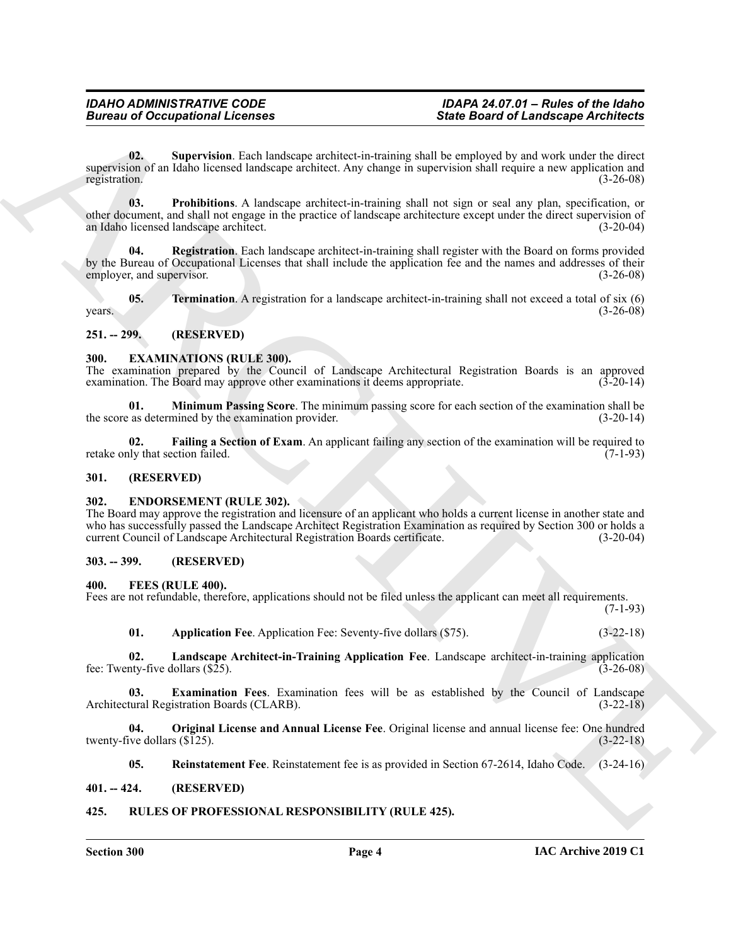## **Bureau of Occupational Licenses**

## *IDAHO ADMINISTRATIVE CODE IDAPA 24.07.01 – Rules of the Idaho*

<span id="page-3-20"></span>**02. Supervision**. Each landscape architect-in-training shall be employed by and work under the direct supervision of an Idaho licensed landscape architect. Any change in supervision shall require a new application and registration. (3-26-08) registration. (3-26-08)

<span id="page-3-19"></span><span id="page-3-18"></span>**03. Prohibitions**. A landscape architect-in-training shall not sign or seal any plan, specification, or other document, and shall not engage in the practice of landscape architecture except under the direct supervision of an Idaho licensed landscape architect. (3-20-04)

**Since the offering the control of the control of the symptoms of the symptoms of the symptoms of the control of the symptoms of the symptoms of the symptoms of the symptoms of the symptoms of the symptoms of the symptoms Registration**. Each landscape architect-in-training shall register with the Board on forms provided by the Bureau of Occupational Licenses that shall include the application fee and the names and addresses of their employer, and supervisor. (3-26-08) (3-26-08)

<span id="page-3-21"></span>**05. Termination**. A registration for a landscape architect-in-training shall not exceed a total of six (6)  $years.$  (3-26-08)

#### <span id="page-3-0"></span>**251. -- 299. (RESERVED)**

#### <span id="page-3-9"></span><span id="page-3-1"></span>**300. EXAMINATIONS (RULE 300).**

The examination prepared by the Council of Landscape Architectural Registration Boards is an approved examination. The Board may approve other examinations it deems appropriate.  $(3-20-14)$ 

<span id="page-3-11"></span>**01. Minimum Passing Score**. The minimum passing score for each section of the examination shall be the score as determined by the examination provider. (3-20-14)

<span id="page-3-10"></span>**02. Failing a Section of Exam**. An applicant failing any section of the examination will be required to retake only that section failed. (7-1-93)

#### <span id="page-3-2"></span>**301. (RESERVED)**

#### <span id="page-3-8"></span><span id="page-3-3"></span>**302. ENDORSEMENT (RULE 302).**

The Board may approve the registration and licensure of an applicant who holds a current license in another state and who has successfully passed the Landscape Architect Registration Examination as required by Section 300 or holds a current Council of Landscape Architectural Registration Boards certificate. (3-20-04)

#### <span id="page-3-4"></span>**303. -- 399. (RESERVED)**

#### <span id="page-3-12"></span><span id="page-3-5"></span>**400. FEES (RULE 400).**

Fees are not refundable, therefore, applications should not be filed unless the applicant can meet all requirements. (7-1-93)

<span id="page-3-15"></span><span id="page-3-14"></span><span id="page-3-13"></span>**01. Application Fee**. Application Fee: Seventy-five dollars (\$75). (3-22-18)

**02. Landscape Architect-in-Training Application Fee**. Landscape architect-in-training application fee: Twenty-five dollars  $(\$25)$ .

**03. Examination Fees**. Examination fees will be as established by the Council of Landscape Architectural Registration Boards (CLARB). (3-22-18)

**04. Original License and Annual License Fee**. Original license and annual license fee: One hundred twenty-five dollars  $(\overline{\$125})$ . (3-22-18)

<span id="page-3-22"></span><span id="page-3-17"></span><span id="page-3-16"></span>**05. Reinstatement Fee**. Reinstatement fee is as provided in Section 67-2614, Idaho Code. (3-24-16)

#### <span id="page-3-6"></span>**401. -- 424. (RESERVED)**

#### <span id="page-3-7"></span>**425. RULES OF PROFESSIONAL RESPONSIBILITY (RULE 425).**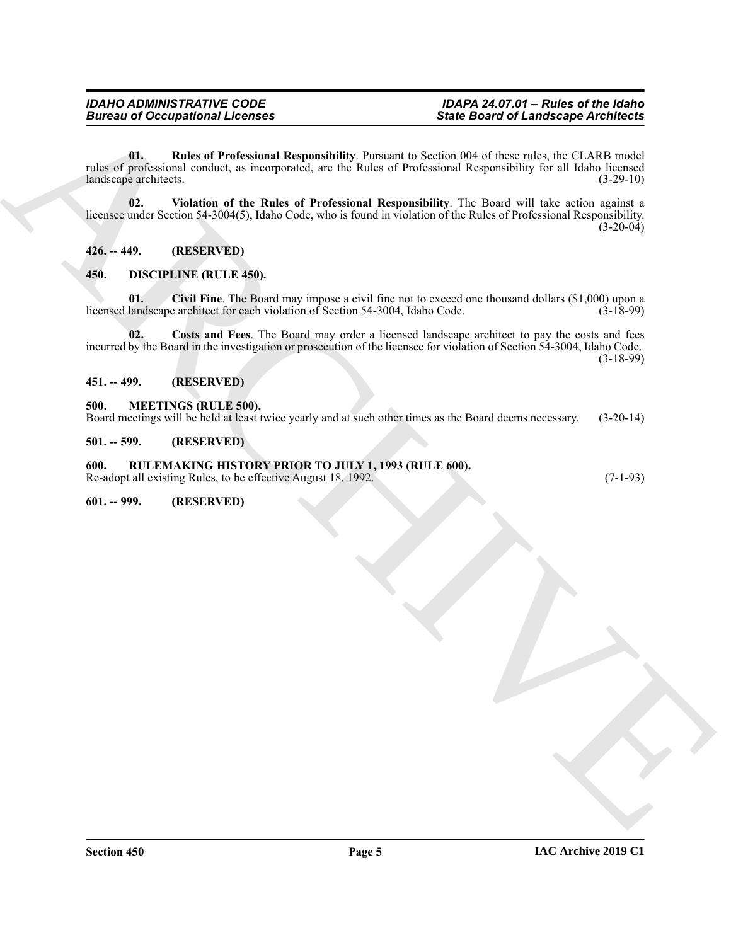Since the other control of the control of the state of the first of the state of the state of the state of the state of the state of the state of the state of the state of the state of the state of the state of the state **01. Rules of Professional Responsibility**. Pursuant to Section 004 of these rules, the CLARB model rules of professional conduct, as incorporated, are the Rules of Professional Responsibility for all Idaho licensed<br>(3-29-10) (3-29-10) landscape architects.

<span id="page-4-12"></span><span id="page-4-11"></span>**02. Violation of the Rules of Professional Responsibility**. The Board will take action against a licensee under Section 54-3004(5), Idaho Code, who is found in violation of the Rules of Professional Responsibility.  $(3-20-04)$ 

<span id="page-4-0"></span>**426. -- 449. (RESERVED)**

#### <span id="page-4-7"></span><span id="page-4-1"></span>**450. DISCIPLINE (RULE 450).**

<span id="page-4-8"></span>**01. Civil Fine**. The Board may impose a civil fine not to exceed one thousand dollars (\$1,000) upon a licensed landscape architect for each violation of Section 54-3004, Idaho Code. (3-18-99)

<span id="page-4-9"></span>**02. Costs and Fees**. The Board may order a licensed landscape architect to pay the costs and fees incurred by the Board in the investigation or prosecution of the licensee for violation of Section 54-3004, Idaho Code. (3-18-99)

<span id="page-4-2"></span>**451. -- 499. (RESERVED)**

#### <span id="page-4-10"></span><span id="page-4-3"></span>**500. MEETINGS (RULE 500).**

Board meetings will be held at least twice yearly and at such other times as the Board deems necessary. (3-20-14)

<span id="page-4-4"></span>**501. -- 599. (RESERVED)**

#### <span id="page-4-5"></span>**600. RULEMAKING HISTORY PRIOR TO JULY 1, 1993 (RULE 600).**

Re-adopt all existing Rules, to be effective August 18, 1992. (7-1-93)

<span id="page-4-6"></span>**601. -- 999. (RESERVED)**